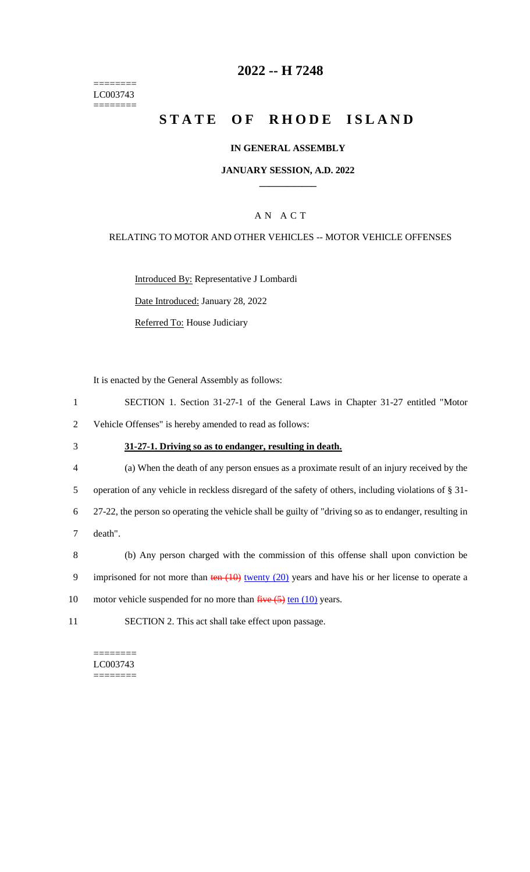======== LC003743 ========

# **2022 -- H 7248**

# **STATE OF RHODE ISLAND**

#### **IN GENERAL ASSEMBLY**

#### **JANUARY SESSION, A.D. 2022 \_\_\_\_\_\_\_\_\_\_\_\_**

## A N A C T

#### RELATING TO MOTOR AND OTHER VEHICLES -- MOTOR VEHICLE OFFENSES

Introduced By: Representative J Lombardi

Date Introduced: January 28, 2022

Referred To: House Judiciary

It is enacted by the General Assembly as follows:

- 1 SECTION 1. Section 31-27-1 of the General Laws in Chapter 31-27 entitled "Motor 2 Vehicle Offenses" is hereby amended to read as follows:
- 

## 3 **31-27-1. Driving so as to endanger, resulting in death.**

- 4 (a) When the death of any person ensues as a proximate result of an injury received by the 5 operation of any vehicle in reckless disregard of the safety of others, including violations of § 31- 6 27-22, the person so operating the vehicle shall be guilty of "driving so as to endanger, resulting in 7 death".
- 8 (b) Any person charged with the commission of this offense shall upon conviction be 9 imprisoned for not more than  $\frac{\tan(10)}{\tan(10)}$  twenty (20) years and have his or her license to operate a
- 10 motor vehicle suspended for no more than  $\frac{five(5)}{fen(10)}$  years.
- 11 SECTION 2. This act shall take effect upon passage.

======== LC003743  $=$